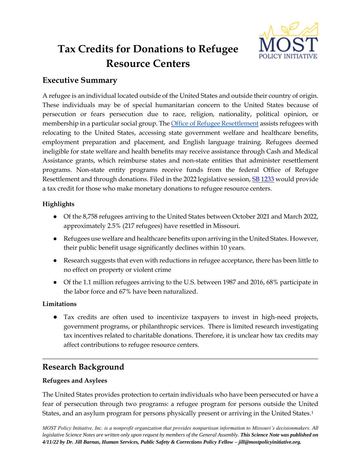

# **Tax Credits for Donations to Refugee Resource Centers**

# **Executive Summary**

A refugee is an individual located outside of the United States and outside their country of origin. These individuals may be of special humanitarian concern to the United States because of persecution or fears persecution due to race, religion, nationality, political opinion, or membership in a particular social group. Th[e Office of Refugee Resettlement](https://www.acf.hhs.gov/orr) assists refugees with relocating to the United States, accessing state government welfare and healthcare benefits, employment preparation and placement, and English language training. Refugees deemed ineligible for state welfare and health benefits may receive assistance through Cash and Medical Assistance grants, which reimburse states and non-state entities that administer resettlement programs. Non-state entity programs receive funds from the federal Office of Refugee Resettlement and through donations. Filed in the 2022 legislative session, [SB 1233](https://www.senate.mo.gov/22info/BTS_Web/Bill.aspx?SessionType=R&BillID=77283614) would provide a tax credit for those who make monetary donations to refugee resource centers.

## **Highlights**

- Of the 8,758 refugees arriving to the United States between October 2021 and March 2022, approximately 2.5% (217 refugees) have resettled in Missouri.
- Refugees use welfare and healthcare benefits upon arriving in the United States. However, their public benefit usage significantly declines within 10 years.
- Research suggests that even with reductions in refugee acceptance, there has been little to no effect on property or violent crime
- Of the 1.1 million refugees arriving to the U.S. between 1987 and 2016, 68% participate in the labor force and 67% have been naturalized.

## **Limitations**

● Tax credits are often used to incentivize taxpayers to invest in high-need projects, government programs, or philanthropic services. There is limited research investigating tax incentives related to charitable donations. Therefore, it is unclear how tax credits may affect contributions to refugee resource centers.

## **Research Background**

## **Refugees and Asylees**

The United States provides protection to certain individuals who have been persecuted or have a fear of persecution through two programs: a refugee program for persons outside the United States, and an asylum program for persons physically present or arriving in the United States.1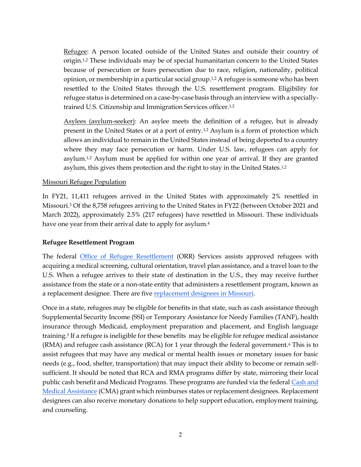Refugee: A person located outside of the United States and outside their country of origin.1,2 These individuals may be of special humanitarian concern to the United States because of persecution or fears persecution due to race, religion, nationality, political opinion, or membership in a particular social group.1,2 A refugee is someone who has been resettled to the United States through the U.S. resettlement program. Eligibility for refugee status is determined on a case-by-case basis through an interview with a speciallytrained U.S. Citizenship and Immigration Services officer.1,2

Asylees (asylum-seeker): An asylee meets the definition of a refugee, but is already present in the United States or at a port of entry.1,2 Asylum is a form of protection which allows an individual to remain in the United States instead of being deported to a country where they may face persecution or harm. Under U.S. law, refugees can apply for asylum.1,2 Asylum must be applied for within one year of arrival. If they are granted asylum, this gives them protection and the right to stay in the United States.1,2

#### Missouri Refugee Population

In FY21, 11,411 refugees arrived in the United States with approximately 2% resettled in Missouri.<sup>3</sup> Of the 8,758 refugees arriving to the United States in FY22 (between October 2021 and March 2022), approximately 2.5% (217 refugees) have resettled in Missouri. These individuals have one year from their arrival date to apply for asylum.<sup>4</sup>

#### **Refugee Resettlement Program**

The federal [Office of Refugee Resettlement](https://www.acf.hhs.gov/orr) (ORR) Services assists approved refugees with acquiring a medical screening, cultural orientation, travel plan assistance, and a travel loan to the U.S. When a refugee arrives to their state of destination in the U.S., they may receive further assistance from the state or a non-state entity that administers a resettlement program, known as a replacement designee. There are five [replacement designees](https://www.acf.hhs.gov/orr/policy-guidance/state-missouri-programs-and-services-locality) [in Missouri.](https://www.acf.hhs.gov/orr/policy-guidance/state-missouri-programs-and-services-locality)

Once in a state, refugees may be eligible for benefits in that state, such as cash assistance through Supplemental Security Income (SSI) or Temporary Assistance for Needy Families (TANF), health insurance through Medicaid, employment preparation and placement, and English language training.<sup>5</sup> If a refugee is ineligible for these benefits may be eligible for refugee medical assistance (RMA) and refugee cash assistance (RCA) for 1 year through the federal government.<sup>6</sup> This is to assist refugees that may have any medical or mental health issues or monetary issues for basic needs (e.g., food, shelter, transportation) that may impact their ability to become or remain selfsufficient. It should be noted that RCA and RMA programs differ by state, mirroring their local public cash benefit and Medicaid Programs. These programs are funded via the federal Cash and [Medical Assistance](https://www.acf.hhs.gov/orr/programs/refugees/cma) (CMA) grant which reimburses states or replacement designees. Replacement designees can also receive monetary donations to help support education, employment training, and counseling.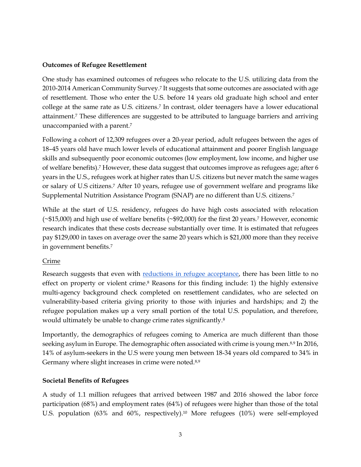#### **Outcomes of Refugee Resettlement**

One study has examined outcomes of refugees who relocate to the U.S. utilizing data from the 2010-2014 American Community Survey.<sup>7</sup> It suggests that some outcomes are associated with age of resettlement. Those who enter the U.S. before 14 years old graduate high school and enter college at the same rate as U.S. citizens.<sup>7</sup> In contrast, older teenagers have a lower educational attainment.<sup>7</sup> These differences are suggested to be attributed to language barriers and arriving unaccompanied with a parent.<sup>7</sup>

Following a cohort of 12,309 refugees over a 20-year period, adult refugees between the ages of 18–45 years old have much lower levels of educational attainment and poorer English language skills and subsequently poor economic outcomes (low employment, low income, and higher use of welfare benefits).<sup>7</sup> However, these data suggest that outcomes improve as refugees age; after 6 years in the U.S., refugees work at higher rates than U.S. citizens but never match the same wages or salary of U.S citizens.<sup>7</sup> After 10 years, refugee use of government welfare and programs like Supplemental Nutrition Assistance Program (SNAP) are no different than U.S. citizens.<sup>7</sup>

While at the start of U.S. residency, refugees do have high costs associated with relocation (~\$15,000) and high use of welfare benefits (~\$92,000) for the first 20 years.<sup>7</sup> However, economic research indicates that these costs decrease substantially over time. It is estimated that refugees pay \$129,000 in taxes on average over the same 20 years which is \$21,000 more than they receive in government benefits.<sup>7</sup>

## Crime

Research suggests that even with [reductions in refugee acceptance,](https://www.federalregister.gov/documents/2017/02/01/2017-02281/protecting-the-nation-from-foreign-terrorist-entry-into-the-united-states) there has been little to no effect on property or violent crime.<sup>8</sup> Reasons for this finding include: 1) the highly extensive multi-agency background check completed on resettlement candidates, who are selected on vulnerability-based criteria giving priority to those with injuries and hardships; and 2) the refugee population makes up a very small portion of the total U.S. population, and therefore, would ultimately be unable to change crime rates significantly.<sup>8</sup>

Importantly, the demographics of refugees coming to America are much different than those seeking asylum in Europe. The demographic often associated with crime is young men.<sup>8,9</sup> In 2016, 14% of asylum-seekers in the U.S were young men between 18-34 years old compared to 34% in Germany where slight increases in crime were noted.<sup>8,9</sup>

## **Societal Benefits of Refugees**

A study of 1.1 million refugees that arrived between 1987 and 2016 showed the labor force participation (68%) and employment rates (64%) of refugees were higher than those of the total U.S. population (63% and 60%, respectively).<sup>10</sup> More refugees (10%) were self-employed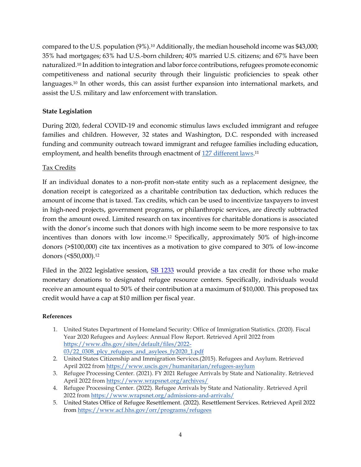compared to the U.S. population (9%).<sup>10</sup> Additionally, the median household income was \$43,000; 35% had mortgages; 63% had U.S.-born children; 40% married U.S. citizens; and 67% have been naturalized.<sup>10</sup> In addition to integration and labor force contributions, refugees promote economic competitiveness and national security through their linguistic proficiencies to speak other languages.<sup>10</sup> In other words, this can assist further expansion into international markets, and assist the U.S. military and law enforcement with translation.

## **State Legislation**

During 2020, federal COVID-19 and economic stimulus laws excluded immigrant and refugee families and children. However, 32 states and Washington, D.C. responded with increased funding and community outreach toward immigrant and refugee families including education, employment, and health benefits through enactment of <u>127 different laws</u>.11

### Tax Credits

If an individual donates to a non-profit non-state entity such as a replacement designee, the donation receipt is categorized as a charitable contribution tax deduction, which reduces the amount of income that is taxed. Tax credits, which can be used to incentivize taxpayers to invest in high-need projects, government programs, or philanthropic services, are directly subtracted from the amount owed. Limited research on tax incentives for charitable donations is associated with the donor's income such that donors with high income seem to be more responsive to tax incentives than donors with low income.<sup>12</sup> Specifically, approximately 50% of high-income donors (>\$100,000) cite tax incentives as a motivation to give compared to 30% of low-income donors (<\$50,000).<sup>12</sup>

Filed in the 2022 legislative session, [SB 1233](https://www.senate.mo.gov/22info/BTS_Web/Bill.aspx?SessionType=R&BillID=77283614) would provide a tax credit for those who make monetary donations to designated refugee resource centers. Specifically, individuals would receive an amount equal to 50% of their contribution at a maximum of \$10,000. This proposed tax credit would have a cap at \$10 million per fiscal year.

#### **References**

- 1. United States Department of Homeland Security: Office of Immigration Statistics. (2020). Fiscal Year 2020 Refugees and Asylees: Annual Flow Report. Retrieved April 2022 from [https://www.dhs.gov/sites/default/files/2022-](https://www.dhs.gov/sites/default/files/2022-03/22_0308_plcy_refugees_and_asylees_fy2020_1.pdf) [03/22\\_0308\\_plcy\\_refugees\\_and\\_asylees\\_fy2020\\_1.pdf](https://www.dhs.gov/sites/default/files/2022-03/22_0308_plcy_refugees_and_asylees_fy2020_1.pdf)
- 2. United States Citizenship and Immigration Services.(2015). Refugees and Asylum. Retrieved April 2022 fro[m https://www.uscis.gov/humanitarian/refugees-asylum](https://www.uscis.gov/humanitarian/refugees-asylum)
- 3. Refugee Processing Center. (2021). FY 2021 Refugee Arrivals by State and Nationality. Retrieved April 2022 fro[m https://www.wrapsnet.org/archives/](https://www.wrapsnet.org/archives/)
- 4. Refugee Processing Center. (2022). Refugee Arrivals by State and Nationality. Retrieved April 2022 fro[m https://www.wrapsnet.org/admissions-and-arrivals/](https://www.wrapsnet.org/admissions-and-arrivals/)
- 5. United States Office of Refugee Resettlement. (2022). Resettlement Services. Retrieved April 2022 from <https://www.acf.hhs.gov/orr/programs/refugees>